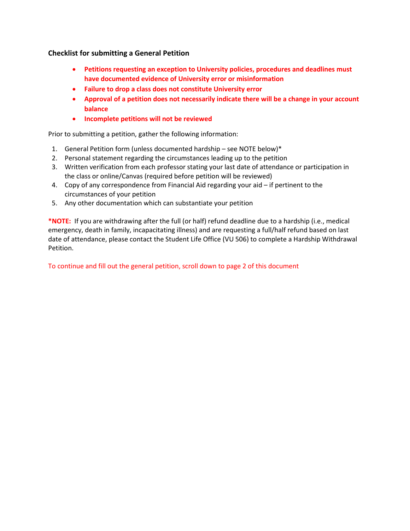## **Checklist for submitting a General Petition**

- **Petitions requesting an exception to University policies, procedures and deadlines must have documented evidence of University error or misinformation**
- **Failure to drop a class does not constitute University error**
- **Approval of a petition does not necessarily indicate there will be a change in your account balance**
- **Incomplete petitions will not be reviewed**

Prior to submitting a petition, gather the following information:

- 1. General Petition form (unless documented hardship see NOTE below)\*
- 2. Personal statement regarding the circumstances leading up to the petition
- 3. Written verification from each professor stating your last date of attendance or participation in the class or online/Canvas (required before petition will be reviewed)
- 4. Copy of any correspondence from Financial Aid regarding your aid if pertinent to the circumstances of your petition
- 5. Any other documentation which can substantiate your petition

 **\*NOTE:** If you are withdrawing after the full (or half) refund deadline due to a hardship (i.e., medical emergency, death in family, incapacitating illness) and are requesting a full/half refund based on last date of attendance, please contact the Student Life Office (VU 506) to complete a Hardship Withdrawal Petition.

To continue and fill out the general petition, scroll down to page 2 of this document